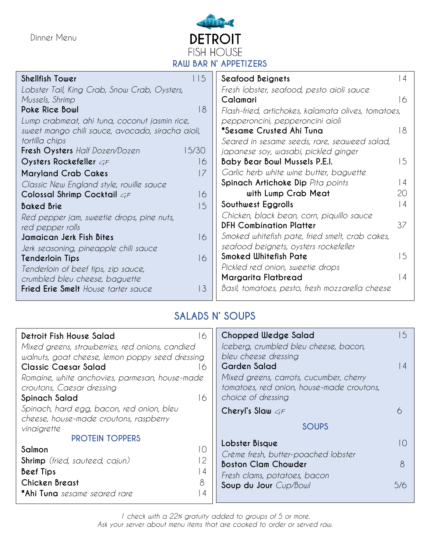Dinner Menu



| Shellfish Tower                                  | 115            | Seafood Beignets                                    | $\overline{4}$  |  |  |  |  |
|--------------------------------------------------|----------------|-----------------------------------------------------|-----------------|--|--|--|--|
| Lobster Tail, King Crab, Snow Crab, Oysters,     |                | Fresh lobster, seafood, pesto aioli sauce           |                 |  |  |  |  |
| Mussels, Shrimp                                  |                | Calamari                                            | 16              |  |  |  |  |
| Poke Rice Bowl                                   | 18             | Flash-fried, artichokes, kalamata olives, tomatoes, |                 |  |  |  |  |
| Lump crabmeat, ahi tuna, coconut jasmin rice,    |                | pepperoncini, pepperoncini aioli                    |                 |  |  |  |  |
| sweet mango chili sauce, avocado, siracha aioli, |                | *Sesame Crusted Ahi Tuna                            | 8               |  |  |  |  |
| tortilla chips                                   |                | Seared in sesame seeds, rare, seaweed salad,        |                 |  |  |  |  |
| Fresh Oysters Half Dozen/Dozen                   | 15/30          | japanese soy, wasabi, pickled ginger                |                 |  |  |  |  |
| Oysters Rockefeller $c$ F                        | 16             | <b>Baby Bear Bowl Mussels P.E.I.</b>                | 5               |  |  |  |  |
| <b>Maryland Crab Cakes</b>                       | 17             | Garlic herb white wine butter, baguette             |                 |  |  |  |  |
| Classic New England style, rouille sauce         |                | Spinach Artichoke Dip Pita points                   | l 4             |  |  |  |  |
| Colossal Shrimp Cocktail $G\digamma$             | 16             | with Lump Crab Meat                                 | 20              |  |  |  |  |
| <b>Baked Brie</b>                                | $\overline{5}$ | Southwest Eggrolls                                  | $\vert 4 \vert$ |  |  |  |  |
| Red pepper jam, sweetie drops, pine nuts,        |                | Chicken, black bean, corn, piquillo sauce           |                 |  |  |  |  |
| red pepper rolls                                 |                | <b>DFH Combination Platter</b>                      | 37              |  |  |  |  |
| Jamaican Jerk Fish Bites                         | 16             | Smoked whitefish pate, fried smelt, crab cakes,     |                 |  |  |  |  |
| Jerk seasoning, pineapple chili sauce            |                | seafood beignets, oysters rockefeller               |                 |  |  |  |  |
| <b>Tenderloin Tips</b>                           | 16             | Smoked Whitefish Pate                               | 15              |  |  |  |  |
| Tenderloin of beef tips, zip sauce,              |                | Pickled red onion, sweetie drops                    |                 |  |  |  |  |
| crumbled bleu cheese, baguette                   |                | Margarita Flatbread                                 | $\overline{4}$  |  |  |  |  |
| Fried Erie Smelt House tarter sauce              | 13             | Basil, tomatoes, pesto, fresh mozzarella cheese     |                 |  |  |  |  |
|                                                  |                |                                                     |                 |  |  |  |  |

## **SALADS N' SOUPS**

| Detroit Fish House Salad<br>6<br>Mixed greens, strawberries, red onions, candied<br>walnuts, goat cheese, lemon poppy seed dressing | Chopped Wedge Salad<br>Iceberg, crumbled bleu cheese, bacon,<br>bleu cheese dressing                                              | 5              |
|-------------------------------------------------------------------------------------------------------------------------------------|-----------------------------------------------------------------------------------------------------------------------------------|----------------|
| Classic Caesar Salad<br>6<br>Romaine, white anchovies, parmesan, house-made<br>croutons, Caesar dressing<br>Spinach Salad<br>16     | <b>Garden Salad</b><br>Mixed greens, carrots, cucumber, cherry<br>tomatoes, red onion, house-made croutons,<br>choice of dressing | $\overline{4}$ |
| Spinach, hard egg, bacon, red onion, bleu<br>cheese, house-made croutons, raspberry<br>vinaigrette                                  | Cheryl's Slaw $G_F$<br>∕<br><b>SOUPS</b>                                                                                          |                |
| <b>PROTEIN TOPPERS</b><br>Salmon<br>$\circ$                                                                                         | Lobster Bisque<br>Crème fresh, butter-poached lobster                                                                             |                |
| <b>Shrimp</b> (fried, sauteed, cajun)<br>Beef Tips<br>l 4<br>8<br>Chicken Breast                                                    | <b>Boston Clam Chowder</b><br>Fresh clams, potatoes, bacon                                                                        | 8              |
| *Ahi Tuna sesame seared rare<br>ı 4                                                                                                 | Soup du Jour Cup/Bowl                                                                                                             | 5/6            |